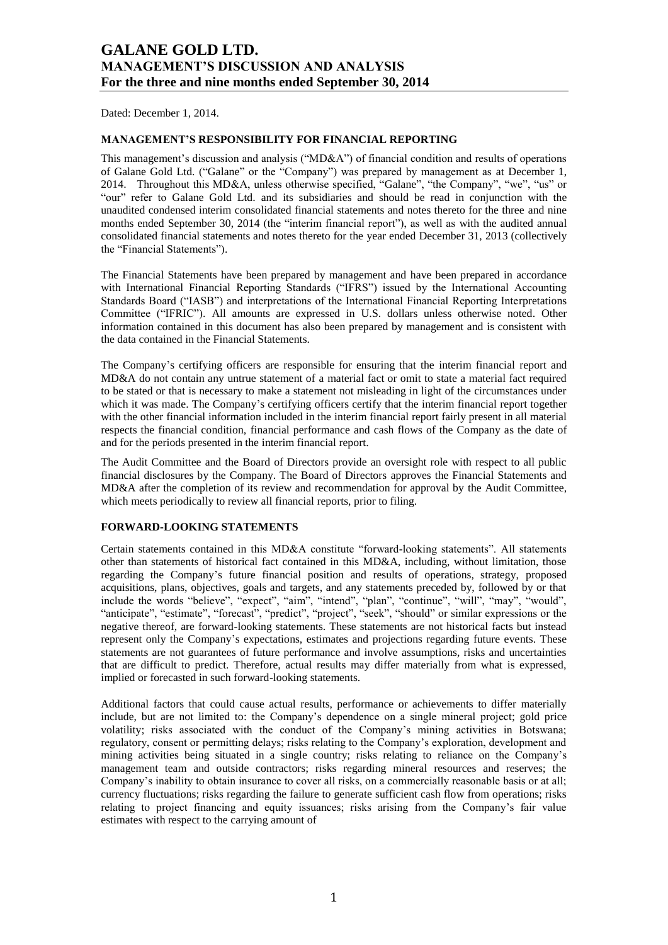Dated: December 1, 2014.

### **MANAGEMENT'S RESPONSIBILITY FOR FINANCIAL REPORTING**

This management's discussion and analysis ("MD&A") of financial condition and results of operations of Galane Gold Ltd. ("Galane" or the "Company") was prepared by management as at December 1, 2014. Throughout this MD&A, unless otherwise specified, "Galane", "the Company", "we", "us" or "our" refer to Galane Gold Ltd. and its subsidiaries and should be read in conjunction with the unaudited condensed interim consolidated financial statements and notes thereto for the three and nine months ended September 30, 2014 (the "interim financial report"), as well as with the audited annual consolidated financial statements and notes thereto for the year ended December 31, 2013 (collectively the "Financial Statements").

The Financial Statements have been prepared by management and have been prepared in accordance with International Financial Reporting Standards ("IFRS") issued by the International Accounting Standards Board ("IASB") and interpretations of the International Financial Reporting Interpretations Committee ("IFRIC"). All amounts are expressed in U.S. dollars unless otherwise noted. Other information contained in this document has also been prepared by management and is consistent with the data contained in the Financial Statements.

The Company's certifying officers are responsible for ensuring that the interim financial report and MD&A do not contain any untrue statement of a material fact or omit to state a material fact required to be stated or that is necessary to make a statement not misleading in light of the circumstances under which it was made. The Company's certifying officers certify that the interim financial report together with the other financial information included in the interim financial report fairly present in all material respects the financial condition, financial performance and cash flows of the Company as the date of and for the periods presented in the interim financial report.

The Audit Committee and the Board of Directors provide an oversight role with respect to all public financial disclosures by the Company. The Board of Directors approves the Financial Statements and MD&A after the completion of its review and recommendation for approval by the Audit Committee, which meets periodically to review all financial reports, prior to filing.

## **FORWARD-LOOKING STATEMENTS**

Certain statements contained in this MD&A constitute "forward-looking statements". All statements other than statements of historical fact contained in this MD&A, including, without limitation, those regarding the Company's future financial position and results of operations, strategy, proposed acquisitions, plans, objectives, goals and targets, and any statements preceded by, followed by or that include the words "believe", "expect", "aim", "intend", "plan", "continue", "will", "may", "would", "anticipate", "estimate", "forecast", "predict", "project", "seek", "should" or similar expressions or the negative thereof, are forward-looking statements. These statements are not historical facts but instead represent only the Company's expectations, estimates and projections regarding future events. These statements are not guarantees of future performance and involve assumptions, risks and uncertainties that are difficult to predict. Therefore, actual results may differ materially from what is expressed, implied or forecasted in such forward-looking statements.

Additional factors that could cause actual results, performance or achievements to differ materially include, but are not limited to: the Company's dependence on a single mineral project; gold price volatility; risks associated with the conduct of the Company's mining activities in Botswana; regulatory, consent or permitting delays; risks relating to the Company's exploration, development and mining activities being situated in a single country; risks relating to reliance on the Company's management team and outside contractors; risks regarding mineral resources and reserves; the Company's inability to obtain insurance to cover all risks, on a commercially reasonable basis or at all; currency fluctuations; risks regarding the failure to generate sufficient cash flow from operations; risks relating to project financing and equity issuances; risks arising from the Company's fair value estimates with respect to the carrying amount of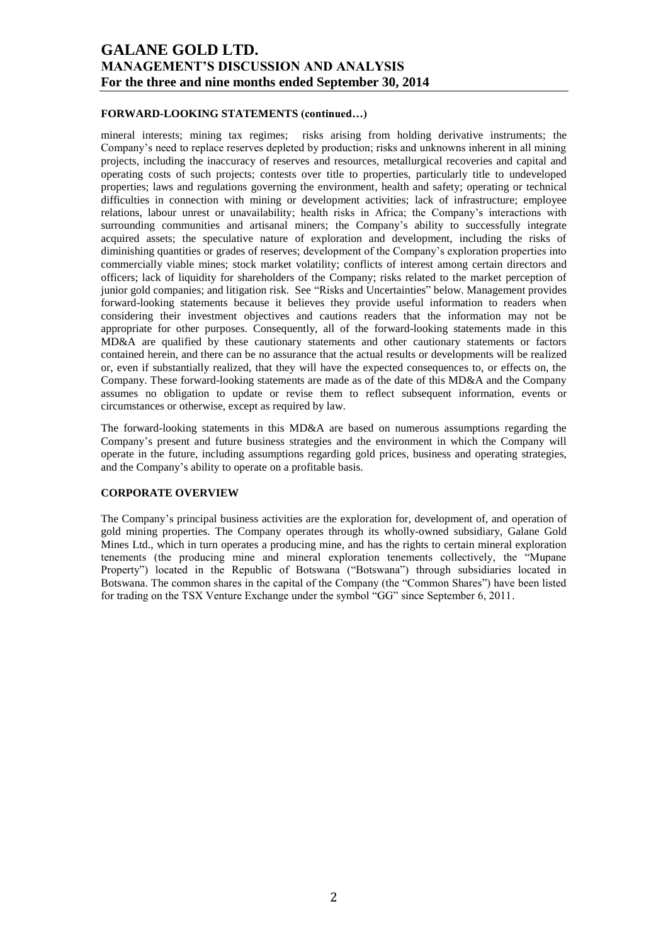## **FORWARD-LOOKING STATEMENTS (continued…)**

mineral interests; mining tax regimes; risks arising from holding derivative instruments; the Company's need to replace reserves depleted by production; risks and unknowns inherent in all mining projects, including the inaccuracy of reserves and resources, metallurgical recoveries and capital and operating costs of such projects; contests over title to properties, particularly title to undeveloped properties; laws and regulations governing the environment, health and safety; operating or technical difficulties in connection with mining or development activities; lack of infrastructure; employee relations, labour unrest or unavailability; health risks in Africa; the Company's interactions with surrounding communities and artisanal miners; the Company's ability to successfully integrate acquired assets; the speculative nature of exploration and development, including the risks of diminishing quantities or grades of reserves; development of the Company's exploration properties into commercially viable mines; stock market volatility; conflicts of interest among certain directors and officers; lack of liquidity for shareholders of the Company; risks related to the market perception of junior gold companies; and litigation risk. See "Risks and Uncertainties" below. Management provides forward-looking statements because it believes they provide useful information to readers when considering their investment objectives and cautions readers that the information may not be appropriate for other purposes. Consequently, all of the forward-looking statements made in this MD&A are qualified by these cautionary statements and other cautionary statements or factors contained herein, and there can be no assurance that the actual results or developments will be realized or, even if substantially realized, that they will have the expected consequences to, or effects on, the Company. These forward-looking statements are made as of the date of this MD&A and the Company assumes no obligation to update or revise them to reflect subsequent information, events or circumstances or otherwise, except as required by law.

The forward-looking statements in this MD&A are based on numerous assumptions regarding the Company's present and future business strategies and the environment in which the Company will operate in the future, including assumptions regarding gold prices, business and operating strategies, and the Company's ability to operate on a profitable basis.

### **CORPORATE OVERVIEW**

The Company's principal business activities are the exploration for, development of, and operation of gold mining properties. The Company operates through its wholly-owned subsidiary, Galane Gold Mines Ltd., which in turn operates a producing mine, and has the rights to certain mineral exploration tenements (the producing mine and mineral exploration tenements collectively, the "Mupane Property") located in the Republic of Botswana ("Botswana") through subsidiaries located in Botswana. The common shares in the capital of the Company (the "Common Shares") have been listed for trading on the TSX Venture Exchange under the symbol "GG" since September 6, 2011.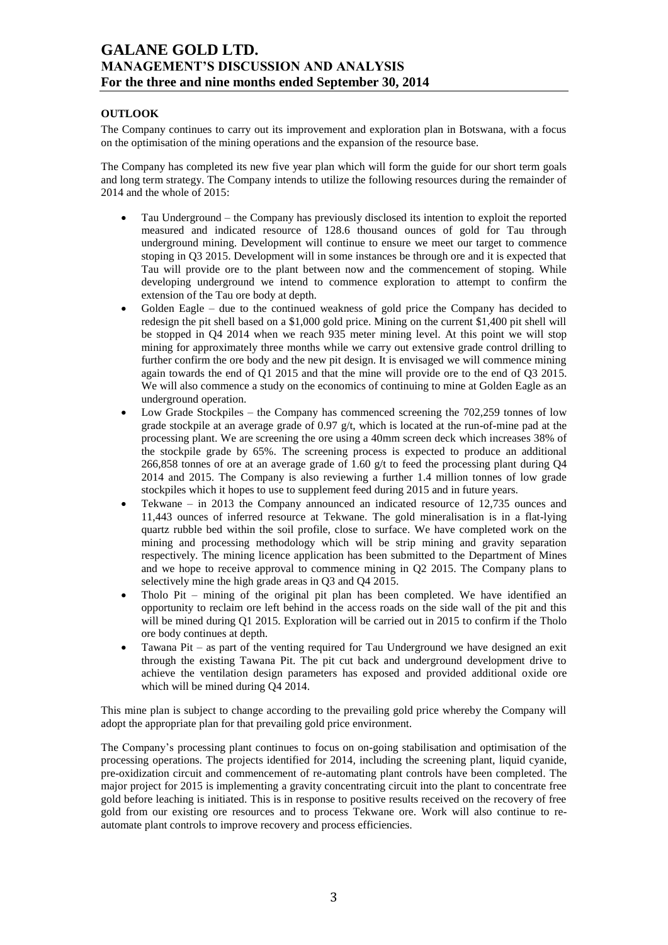## **OUTLOOK**

The Company continues to carry out its improvement and exploration plan in Botswana, with a focus on the optimisation of the mining operations and the expansion of the resource base.

The Company has completed its new five year plan which will form the guide for our short term goals and long term strategy. The Company intends to utilize the following resources during the remainder of 2014 and the whole of 2015:

- Tau Underground the Company has previously disclosed its intention to exploit the reported measured and indicated resource of 128.6 thousand ounces of gold for Tau through underground mining. Development will continue to ensure we meet our target to commence stoping in Q3 2015. Development will in some instances be through ore and it is expected that Tau will provide ore to the plant between now and the commencement of stoping. While developing underground we intend to commence exploration to attempt to confirm the extension of the Tau ore body at depth.
- Golden Eagle due to the continued weakness of gold price the Company has decided to redesign the pit shell based on a \$1,000 gold price. Mining on the current \$1,400 pit shell will be stopped in Q4 2014 when we reach 935 meter mining level. At this point we will stop mining for approximately three months while we carry out extensive grade control drilling to further confirm the ore body and the new pit design. It is envisaged we will commence mining again towards the end of Q1 2015 and that the mine will provide ore to the end of Q3 2015. We will also commence a study on the economics of continuing to mine at Golden Eagle as an underground operation.
- Low Grade Stockpiles the Company has commenced screening the 702,259 tonnes of low grade stockpile at an average grade of 0.97  $g/t$ , which is located at the run-of-mine pad at the processing plant. We are screening the ore using a 40mm screen deck which increases 38% of the stockpile grade by 65%. The screening process is expected to produce an additional 266,858 tonnes of ore at an average grade of 1.60 g/t to feed the processing plant during Q4 2014 and 2015. The Company is also reviewing a further 1.4 million tonnes of low grade stockpiles which it hopes to use to supplement feed during 2015 and in future years.
- Tekwane in 2013 the Company announced an indicated resource of 12,735 ounces and 11,443 ounces of inferred resource at Tekwane. The gold mineralisation is in a flat-lying quartz rubble bed within the soil profile, close to surface. We have completed work on the mining and processing methodology which will be strip mining and gravity separation respectively. The mining licence application has been submitted to the Department of Mines and we hope to receive approval to commence mining in Q2 2015. The Company plans to selectively mine the high grade areas in Q3 and Q4 2015.
- Tholo Pit mining of the original pit plan has been completed. We have identified an opportunity to reclaim ore left behind in the access roads on the side wall of the pit and this will be mined during Q1 2015. Exploration will be carried out in 2015 to confirm if the Tholo ore body continues at depth.
- Tawana Pit as part of the venting required for Tau Underground we have designed an exit through the existing Tawana Pit. The pit cut back and underground development drive to achieve the ventilation design parameters has exposed and provided additional oxide ore which will be mined during Q4 2014.

This mine plan is subject to change according to the prevailing gold price whereby the Company will adopt the appropriate plan for that prevailing gold price environment.

The Company's processing plant continues to focus on on-going stabilisation and optimisation of the processing operations. The projects identified for 2014, including the screening plant, liquid cyanide, pre-oxidization circuit and commencement of re-automating plant controls have been completed. The major project for 2015 is implementing a gravity concentrating circuit into the plant to concentrate free gold before leaching is initiated. This is in response to positive results received on the recovery of free gold from our existing ore resources and to process Tekwane ore. Work will also continue to reautomate plant controls to improve recovery and process efficiencies.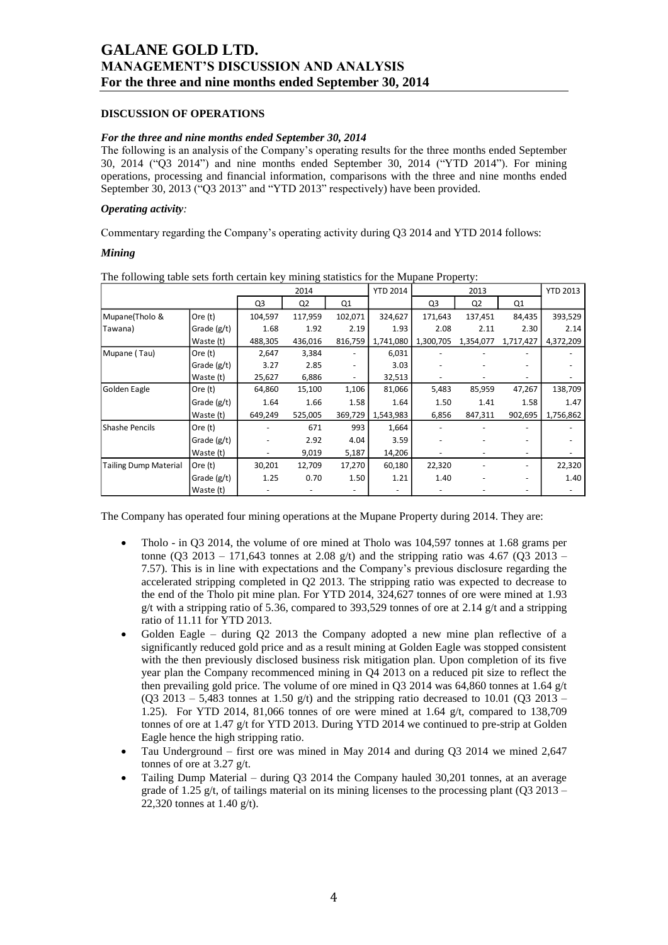## **DISCUSSION OF OPERATIONS**

### *For the three and nine months ended September 30, 2014*

The following is an analysis of the Company's operating results for the three months ended September 30, 2014 ("Q3 2014") and nine months ended September 30, 2014 ("YTD 2014"). For mining operations, processing and financial information, comparisons with the three and nine months ended September 30, 2013 ("Q3 2013" and "YTD 2013" respectively) have been provided.

### *Operating activity:*

Commentary regarding the Company's operating activity during Q3 2014 and YTD 2014 follows:

### *Mining*

| The following there sets forth certain key huming statistics for the mapane I roperty. |             |                | 2014           |         | <b>YTD 2014</b> |           | 2013           |           | <b>YTD 2013</b> |
|----------------------------------------------------------------------------------------|-------------|----------------|----------------|---------|-----------------|-----------|----------------|-----------|-----------------|
|                                                                                        |             | Q <sub>3</sub> | Q <sub>2</sub> | Q1      |                 | Q3        | Q <sub>2</sub> | Q1        |                 |
| Mupane(Tholo &                                                                         | Ore (t)     | 104,597        | 117,959        | 102,071 | 324,627         | 171,643   | 137,451        | 84,435    | 393,529         |
| Tawana)                                                                                | Grade (g/t) | 1.68           | 1.92           | 2.19    | 1.93            | 2.08      | 2.11           | 2.30      | 2.14            |
|                                                                                        | Waste (t)   | 488,305        | 436,016        | 816,759 | 1,741,080       | 1,300,705 | 1,354,077      | 1,717,427 | 4,372,209       |
| Mupane (Tau)                                                                           | Ore $(t)$   | 2,647          | 3,384          |         | 6,031           |           |                |           |                 |
|                                                                                        | Grade (g/t) | 3.27           | 2.85           |         | 3.03            |           |                |           |                 |
|                                                                                        | Waste (t)   | 25,627         | 6,886          |         | 32,513          |           |                |           |                 |
| Golden Eagle                                                                           | Ore $(t)$   | 64,860         | 15,100         | 1,106   | 81,066          | 5,483     | 85,959         | 47,267    | 138,709         |
|                                                                                        | Grade (g/t) | 1.64           | 1.66           | 1.58    | 1.64            | 1.50      | 1.41           | 1.58      | 1.47            |
|                                                                                        | Waste (t)   | 649,249        | 525,005        | 369,729 | 1,543,983       | 6,856     | 847,311        | 902,695   | 1,756,862       |
| Shashe Pencils                                                                         | Ore (t)     |                | 671            | 993     | 1,664           |           |                |           |                 |
|                                                                                        | Grade (g/t) |                | 2.92           | 4.04    | 3.59            |           |                |           |                 |
|                                                                                        | Waste (t)   |                | 9,019          | 5,187   | 14,206          |           |                |           |                 |
| <b>Tailing Dump Material</b>                                                           | Ore $(t)$   | 30,201         | 12,709         | 17,270  | 60,180          | 22,320    |                |           | 22,320          |
|                                                                                        | Grade (g/t) | 1.25           | 0.70           | 1.50    | 1.21            | 1.40      |                |           | 1.40            |
|                                                                                        | Waste (t)   |                |                |         |                 |           |                |           |                 |

The following table sets forth certain key mining statistics for the Mupane Property:

The Company has operated four mining operations at the Mupane Property during 2014. They are:

- Tholo in Q3 2014, the volume of ore mined at Tholo was 104,597 tonnes at 1.68 grams per tonne (Q3 2013 – 171,643 tonnes at 2.08 g/t) and the stripping ratio was 4.67 (Q3 2013 – 7.57). This is in line with expectations and the Company's previous disclosure regarding the accelerated stripping completed in Q2 2013. The stripping ratio was expected to decrease to the end of the Tholo pit mine plan. For YTD 2014, 324,627 tonnes of ore were mined at 1.93 g/t with a stripping ratio of 5.36, compared to 393,529 tonnes of ore at 2.14 g/t and a stripping ratio of 11.11 for YTD 2013.
- Golden Eagle during Q2 2013 the Company adopted a new mine plan reflective of a significantly reduced gold price and as a result mining at Golden Eagle was stopped consistent with the then previously disclosed business risk mitigation plan. Upon completion of its five year plan the Company recommenced mining in Q4 2013 on a reduced pit size to reflect the then prevailing gold price. The volume of ore mined in Q3 2014 was 64,860 tonnes at 1.64 g/t (Q3 2013 – 5,483 tonnes at 1.50 g/t) and the stripping ratio decreased to 10.01 (Q3 2013 – 1.25). For YTD 2014, 81,066 tonnes of ore were mined at 1.64 g/t, compared to 138,709 tonnes of ore at 1.47 g/t for YTD 2013. During YTD 2014 we continued to pre-strip at Golden Eagle hence the high stripping ratio.
- Tau Underground first ore was mined in May 2014 and during Q3 2014 we mined 2,647 tonnes of ore at 3.27 g/t.
- Tailing Dump Material during Q3 2014 the Company hauled 30,201 tonnes, at an average grade of 1.25 g/t, of tailings material on its mining licenses to the processing plant ( $Q3 2013 -$ 22,320 tonnes at 1.40 g/t).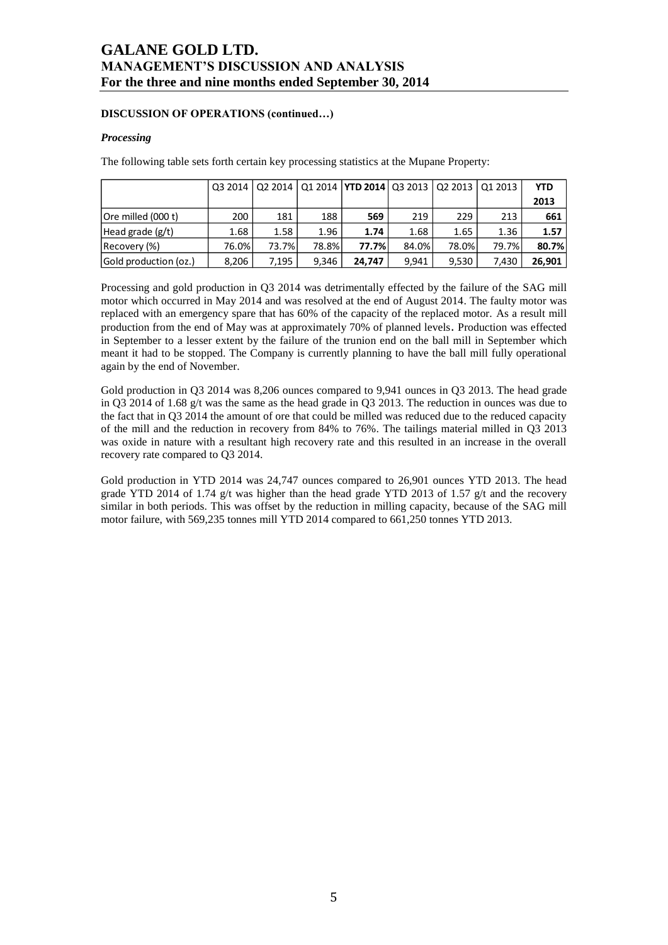## **DISCUSSION OF OPERATIONS (continued…)**

## *Processing*

The following table sets forth certain key processing statistics at the Mupane Property:

|                       |       |        |       | Q3 2014   Q2 2014   Q1 2014   YTD 2014   Q3 2013   Q2 2013   Q1 2013 |       |       |       | <b>YTD</b> |
|-----------------------|-------|--------|-------|----------------------------------------------------------------------|-------|-------|-------|------------|
|                       |       |        |       |                                                                      |       |       |       | 2013       |
| Ore milled (000 t)    | 200   | 181    | 188   | 569                                                                  | 219   | 229   | 213   | 661        |
| Head grade $(g/t)$    | 1.68  | 1.58   | 1.96  | 1.74                                                                 | 1.68  | 1.65  | 1.36  | 1.57       |
| Recovery (%)          | 76.0% | 73.7%l | 78.8% | 77.7%                                                                | 84.0% | 78.0% | 79.7% | 80.7%      |
| Gold production (oz.) | 8.206 | 7.195  | 9.346 | 24.747                                                               | 9.941 | 9.530 | 7.430 | 26.901     |

Processing and gold production in Q3 2014 was detrimentally effected by the failure of the SAG mill motor which occurred in May 2014 and was resolved at the end of August 2014. The faulty motor was replaced with an emergency spare that has 60% of the capacity of the replaced motor. As a result mill production from the end of May was at approximately 70% of planned levels. Production was effected in September to a lesser extent by the failure of the trunion end on the ball mill in September which meant it had to be stopped. The Company is currently planning to have the ball mill fully operational again by the end of November.

Gold production in Q3 2014 was 8,206 ounces compared to 9,941 ounces in Q3 2013. The head grade in Q3 2014 of 1.68 g/t was the same as the head grade in Q3 2013. The reduction in ounces was due to the fact that in Q3 2014 the amount of ore that could be milled was reduced due to the reduced capacity of the mill and the reduction in recovery from 84% to 76%. The tailings material milled in Q3 2013 was oxide in nature with a resultant high recovery rate and this resulted in an increase in the overall recovery rate compared to Q3 2014.

Gold production in YTD 2014 was 24,747 ounces compared to 26,901 ounces YTD 2013. The head grade YTD 2014 of 1.74 g/t was higher than the head grade YTD 2013 of 1.57 g/t and the recovery similar in both periods. This was offset by the reduction in milling capacity, because of the SAG mill motor failure, with 569,235 tonnes mill YTD 2014 compared to 661,250 tonnes YTD 2013.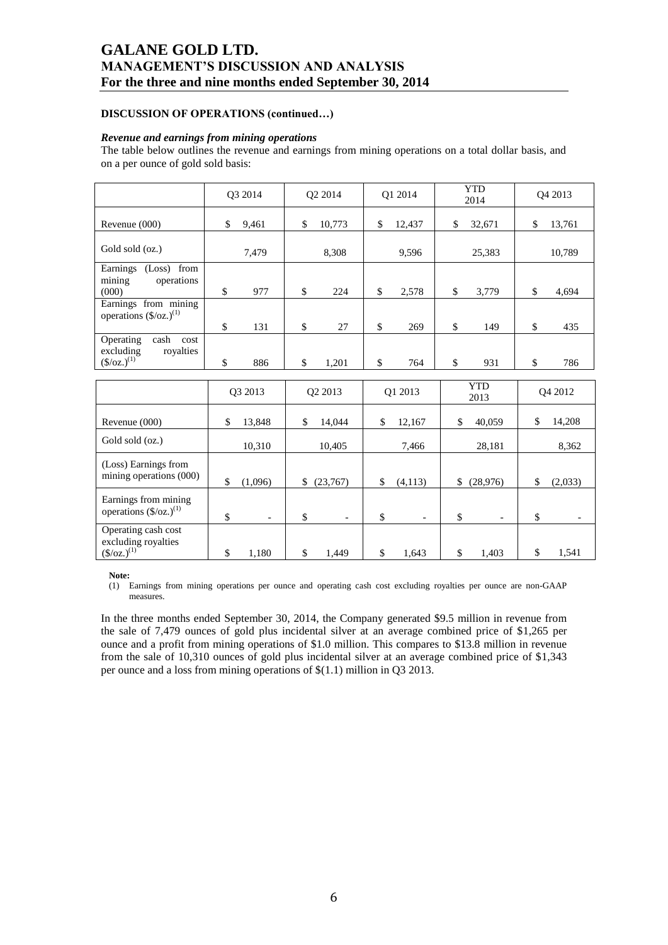### **DISCUSSION OF OPERATIONS (continued…)**

#### *Revenue and earnings from mining operations*

The table below outlines the revenue and earnings from mining operations on a total dollar basis, and on a per ounce of gold sold basis:

|                                                                                    | O3 2014                        | Q2 2014                        | O1 2014              |      | <b>YTD</b><br>2014 | O <sub>4</sub> 2013 |
|------------------------------------------------------------------------------------|--------------------------------|--------------------------------|----------------------|------|--------------------|---------------------|
| Revenue (000)                                                                      | \$<br>9,461                    | \$<br>10,773                   | \$<br>12,437         | \$   | 32,671             | \$<br>13,761        |
| Gold sold (oz.)                                                                    | 7,479                          | 8,308                          | 9,596                |      | 25,383             | 10,789              |
| Earnings (Loss) from<br>operations<br>mining<br>(000)                              | \$<br>977                      | \$<br>224                      | \$<br>2,578          | $\$$ | 3,779              | \$<br>4,694         |
| Earnings from mining<br>operations (\$/oz.) <sup>(1)</sup>                         | \$<br>131                      | \$<br>27                       | \$<br>269            | \$   | 149                | \$<br>435           |
| Operating<br>cash<br>cost<br>royalties<br>excluding<br>$(\frac{\csc(1)}{2})^{(1)}$ | \$<br>886                      | \$<br>1,201                    | \$<br>764            | \$   | 931                | \$<br>786           |
|                                                                                    | O3 2013                        | Q2 2013                        | Q1 2013              |      | <b>YTD</b>         | O <sub>4</sub> 2012 |
|                                                                                    |                                |                                |                      |      | 2013               |                     |
| Revenue (000)                                                                      | \$<br>13,848                   | \$<br>14,044                   | \$<br>12,167         | \$   | 40,059             | \$<br>14,208        |
| Gold sold (oz.)                                                                    | 10,310                         | 10,405                         | 7,466                |      | 28,181             | 8,362               |
| (Loss) Earnings from<br>mining operations (000)                                    | \$<br>(1,096)                  | \$<br>(23,767)                 | \$<br>(4, 113)       | \$   | (28,976)           | \$<br>(2,033)       |
| Earnings from mining<br>operations $(\frac{5}{oz})^{(1)}$                          | \$<br>$\overline{\phantom{a}}$ | \$<br>$\overline{\phantom{a}}$ | \$<br>$\overline{a}$ | \$   |                    | \$                  |
| Operating cash cost<br>excluding royalties<br>$(\frac{\csc(1)}{2})^{(1)}$          | \$<br>1,180                    | \$<br>1,449                    | \$<br>1,643          | \$   | 1,403              | \$<br>1,541         |

**Note:**

(1) Earnings from mining operations per ounce and operating cash cost excluding royalties per ounce are non-GAAP measures.

In the three months ended September 30, 2014, the Company generated \$9.5 million in revenue from the sale of 7,479 ounces of gold plus incidental silver at an average combined price of \$1,265 per ounce and a profit from mining operations of \$1.0 million. This compares to \$13.8 million in revenue from the sale of 10,310 ounces of gold plus incidental silver at an average combined price of \$1,343 per ounce and a loss from mining operations of \$(1.1) million in Q3 2013.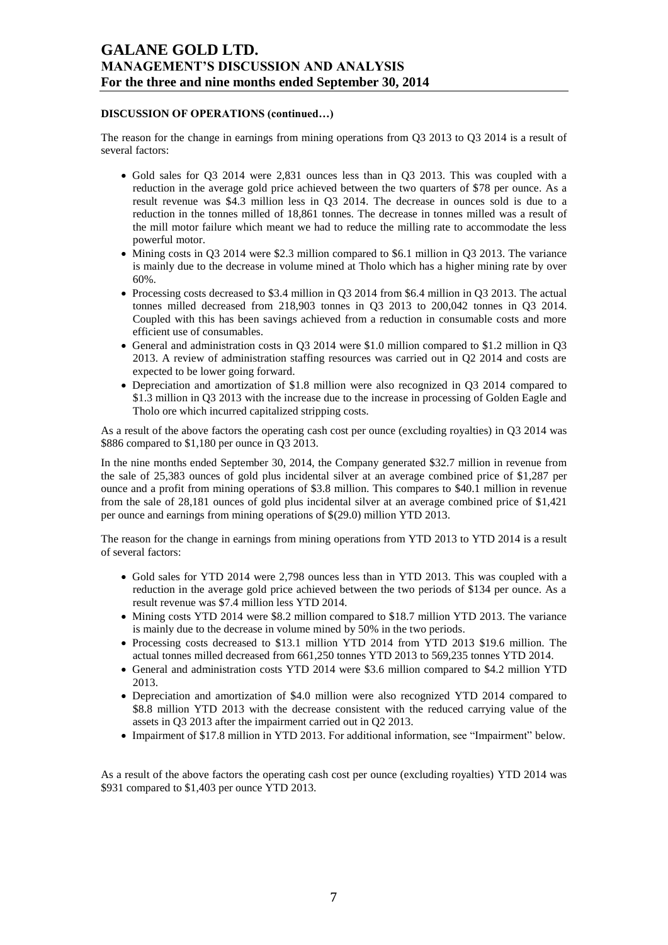### **DISCUSSION OF OPERATIONS (continued…)**

The reason for the change in earnings from mining operations from Q3 2013 to Q3 2014 is a result of several factors:

- Gold sales for Q3 2014 were 2,831 ounces less than in Q3 2013. This was coupled with a reduction in the average gold price achieved between the two quarters of \$78 per ounce. As a result revenue was \$4.3 million less in Q3 2014. The decrease in ounces sold is due to a reduction in the tonnes milled of 18,861 tonnes. The decrease in tonnes milled was a result of the mill motor failure which meant we had to reduce the milling rate to accommodate the less powerful motor.
- $\bullet$  Mining costs in Q3 2014 were \$2.3 million compared to \$6.1 million in Q3 2013. The variance is mainly due to the decrease in volume mined at Tholo which has a higher mining rate by over 60%.
- Processing costs decreased to \$3.4 million in Q3 2014 from \$6.4 million in Q3 2013. The actual tonnes milled decreased from 218,903 tonnes in Q3 2013 to 200,042 tonnes in Q3 2014. Coupled with this has been savings achieved from a reduction in consumable costs and more efficient use of consumables.
- General and administration costs in Q3 2014 were \$1.0 million compared to \$1.2 million in Q3 2013. A review of administration staffing resources was carried out in Q2 2014 and costs are expected to be lower going forward.
- Depreciation and amortization of \$1.8 million were also recognized in Q3 2014 compared to \$1.3 million in Q3 2013 with the increase due to the increase in processing of Golden Eagle and Tholo ore which incurred capitalized stripping costs.

As a result of the above factors the operating cash cost per ounce (excluding royalties) in Q3 2014 was \$886 compared to \$1,180 per ounce in Q3 2013.

In the nine months ended September 30, 2014, the Company generated \$32.7 million in revenue from the sale of 25,383 ounces of gold plus incidental silver at an average combined price of \$1,287 per ounce and a profit from mining operations of \$3.8 million. This compares to \$40.1 million in revenue from the sale of 28,181 ounces of gold plus incidental silver at an average combined price of \$1,421 per ounce and earnings from mining operations of \$(29.0) million YTD 2013.

The reason for the change in earnings from mining operations from YTD 2013 to YTD 2014 is a result of several factors:

- Gold sales for YTD 2014 were 2,798 ounces less than in YTD 2013. This was coupled with a reduction in the average gold price achieved between the two periods of \$134 per ounce. As a result revenue was \$7.4 million less YTD 2014.
- Mining costs YTD 2014 were \$8.2 million compared to \$18.7 million YTD 2013. The variance is mainly due to the decrease in volume mined by 50% in the two periods.
- Processing costs decreased to \$13.1 million YTD 2014 from YTD 2013 \$19.6 million. The actual tonnes milled decreased from 661,250 tonnes YTD 2013 to 569,235 tonnes YTD 2014.
- General and administration costs YTD 2014 were \$3.6 million compared to \$4.2 million YTD 2013.
- Depreciation and amortization of \$4.0 million were also recognized YTD 2014 compared to \$8.8 million YTD 2013 with the decrease consistent with the reduced carrying value of the assets in Q3 2013 after the impairment carried out in Q2 2013.
- Impairment of \$17.8 million in YTD 2013. For additional information, see "Impairment" below.

As a result of the above factors the operating cash cost per ounce (excluding royalties) YTD 2014 was \$931 compared to \$1,403 per ounce YTD 2013.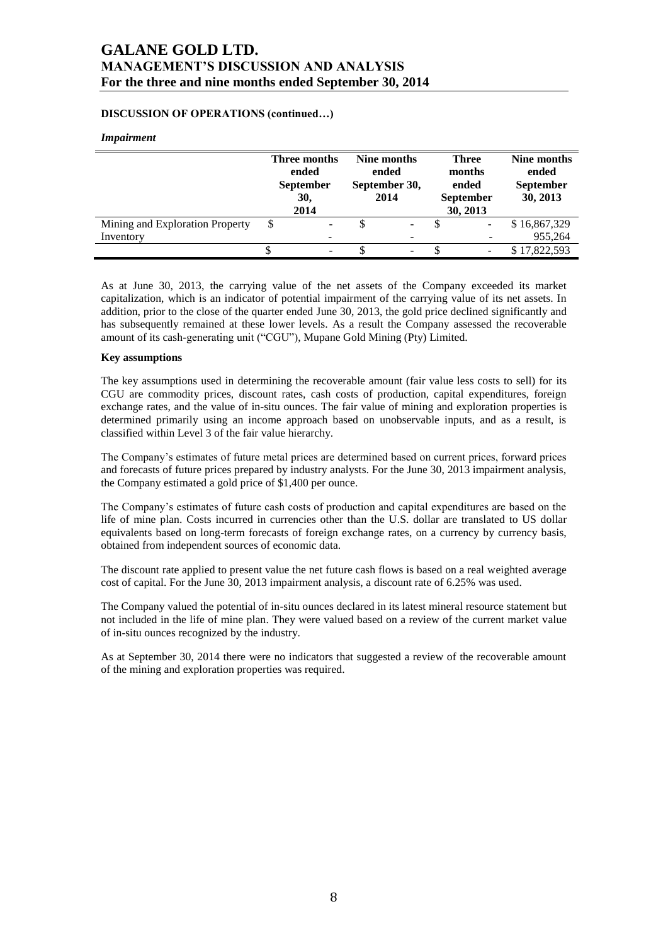## **DISCUSSION OF OPERATIONS (continued…)**

### *Impairment*

|                                 | <b>Three months</b><br>ended<br><b>September</b><br>30,<br>2014 | Nine months<br>ended<br>September 30,<br>2014 | <b>Three</b><br>months<br>ended<br><b>September</b><br>30, 2013 | Nine months<br>ended<br><b>September</b><br>30, 2013 |
|---------------------------------|-----------------------------------------------------------------|-----------------------------------------------|-----------------------------------------------------------------|------------------------------------------------------|
| Mining and Exploration Property | \$<br>-                                                         | -                                             | ۰                                                               | \$16,867,329                                         |
| Inventory                       | -                                                               |                                               |                                                                 | 955,264                                              |
|                                 | $\overline{\phantom{a}}$                                        |                                               |                                                                 | \$17,822,593                                         |

As at June 30, 2013, the carrying value of the net assets of the Company exceeded its market capitalization, which is an indicator of potential impairment of the carrying value of its net assets. In addition, prior to the close of the quarter ended June 30, 2013, the gold price declined significantly and has subsequently remained at these lower levels. As a result the Company assessed the recoverable amount of its cash-generating unit ("CGU"), Mupane Gold Mining (Pty) Limited.

#### **Key assumptions**

The key assumptions used in determining the recoverable amount (fair value less costs to sell) for its CGU are commodity prices, discount rates, cash costs of production, capital expenditures, foreign exchange rates, and the value of in-situ ounces. The fair value of mining and exploration properties is determined primarily using an income approach based on unobservable inputs, and as a result, is classified within Level 3 of the fair value hierarchy.

The Company's estimates of future metal prices are determined based on current prices, forward prices and forecasts of future prices prepared by industry analysts. For the June 30, 2013 impairment analysis, the Company estimated a gold price of \$1,400 per ounce.

The Company's estimates of future cash costs of production and capital expenditures are based on the life of mine plan. Costs incurred in currencies other than the U.S. dollar are translated to US dollar equivalents based on long-term forecasts of foreign exchange rates, on a currency by currency basis, obtained from independent sources of economic data.

The discount rate applied to present value the net future cash flows is based on a real weighted average cost of capital. For the June 30, 2013 impairment analysis, a discount rate of 6.25% was used.

The Company valued the potential of in-situ ounces declared in its latest mineral resource statement but not included in the life of mine plan. They were valued based on a review of the current market value of in-situ ounces recognized by the industry.

As at September 30, 2014 there were no indicators that suggested a review of the recoverable amount of the mining and exploration properties was required.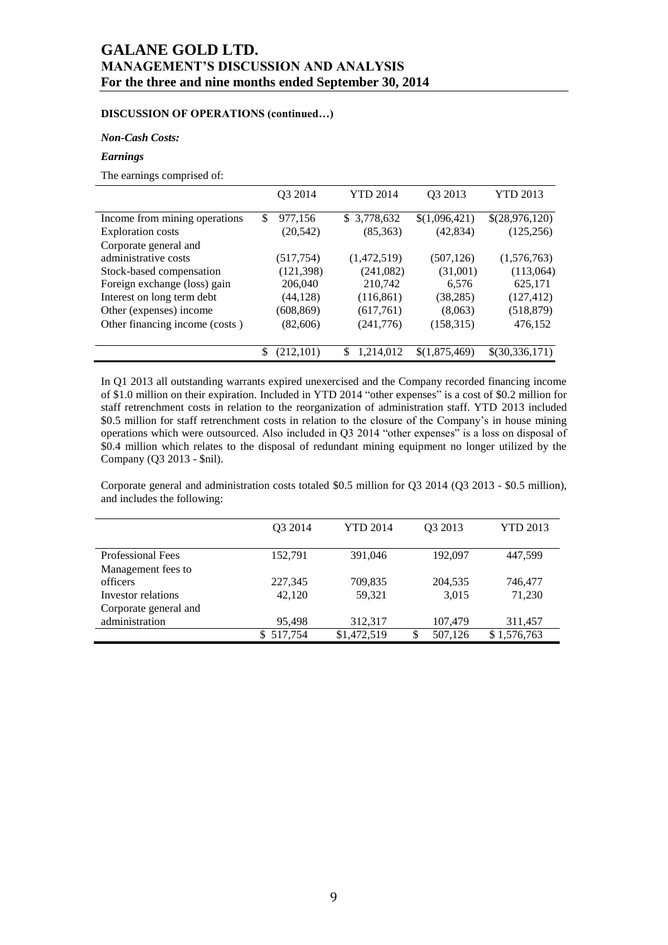# **DISCUSSION OF OPERATIONS (continued…)**

## *Non-Cash Costs:*

## *Earnings*

The earnings comprised of:

|                                |    | Q3 2014    |     | <b>YTD 2014</b> | Q3 2013       | <b>YTD 2013</b> |
|--------------------------------|----|------------|-----|-----------------|---------------|-----------------|
| Income from mining operations  | \$ | 977,156    |     | \$3,778,632     | \$(1,096,421) | \$(28,976,120)  |
| <b>Exploration costs</b>       |    | (20, 542)  |     | (85,363)        | (42, 834)     | (125, 256)      |
| Corporate general and          |    |            |     |                 |               |                 |
| administrative costs           |    | (517, 754) |     | (1,472,519)     | (507, 126)    | (1,576,763)     |
| Stock-based compensation       |    | (121, 398) |     | (241,082)       | (31,001)      | (113,064)       |
| Foreign exchange (loss) gain   |    | 206,040    |     | 210,742         | 6.576         | 625,171         |
| Interest on long term debt     |    | (44, 128)  |     | (116, 861)      | (38, 285)     | (127, 412)      |
| Other (expenses) income        |    | (608, 869) |     | (617,761)       | (8,063)       | (518, 879)      |
| Other financing income (costs) |    | (82,606)   |     | (241,776)       | (158, 315)    | 476,152         |
|                                |    |            |     |                 |               |                 |
|                                | S  | (212, 101) | \$. | 1,214,012       | \$(1,875,469) | \$(30,336,171)  |

In Q1 2013 all outstanding warrants expired unexercised and the Company recorded financing income of \$1.0 million on their expiration. Included in YTD 2014 "other expenses" is a cost of \$0.2 million for staff retrenchment costs in relation to the reorganization of administration staff. YTD 2013 included \$0.5 million for staff retrenchment costs in relation to the closure of the Company's in house mining operations which were outsourced. Also included in Q3 2014 "other expenses" is a loss on disposal of \$0.4 million which relates to the disposal of redundant mining equipment no longer utilized by the Company (Q3 2013 - \$nil).

Corporate general and administration costs totaled \$0.5 million for Q3 2014 (Q3 2013 - \$0.5 million), and includes the following:

|                          | O <sub>3</sub> 2014 | <b>YTD 2014</b> | Q3 2013 | <b>YTD 2013</b> |
|--------------------------|---------------------|-----------------|---------|-----------------|
| <b>Professional Fees</b> | 152.791             | 391,046         | 192,097 | 447.599         |
| Management fees to       |                     |                 |         |                 |
| officers                 | 227,345             | 709,835         | 204,535 | 746,477         |
| Investor relations       | 42,120              | 59,321          | 3,015   | 71,230          |
| Corporate general and    |                     |                 |         |                 |
| administration           | 95.498              | 312,317         | 107,479 | 311,457         |
|                          | 517,754<br>S.       | \$1,472,519     | 507,126 | \$1,576,763     |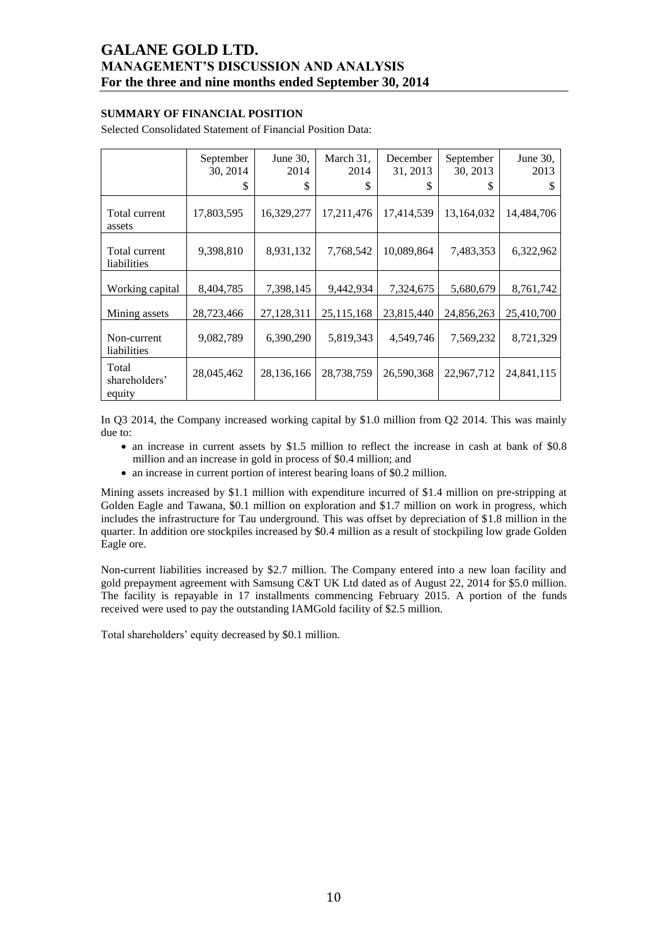## **SUMMARY OF FINANCIAL POSITION**

Selected Consolidated Statement of Financial Position Data:

|                                  | September<br>30, 2014<br>S | June 30,<br>2014<br>\$ | March 31,<br>2014<br>\$ | December<br>31, 2013<br>S | September<br>30, 2013<br>S | June $30$ ,<br>2013<br>S |
|----------------------------------|----------------------------|------------------------|-------------------------|---------------------------|----------------------------|--------------------------|
| Total current<br>assets          | 17,803,595                 | 16,329,277             | 17,211,476              | 17,414,539                | 13,164,032                 | 14,484,706               |
| Total current<br>liabilities     | 9,398,810                  | 8,931,132              | 7,768,542               | 10,089,864                | 7,483,353                  | 6,322,962                |
| Working capital                  | 8,404,785                  | 7,398,145              | 9,442,934               | 7,324,675                 | 5,680,679                  | 8,761,742                |
| Mining assets                    | 28,723,466                 | 27,128,311             | 25,115,168              | 23,815,440                | 24,856,263                 | 25,410,700               |
| Non-current<br>liabilities       | 9,082,789                  | 6,390,290              | 5,819,343               | 4,549,746                 | 7,569,232                  | 8,721,329                |
| Total<br>shareholders'<br>equity | 28,045,462                 | 28,136,166             | 28,738,759              | 26,590,368                | 22,967,712                 | 24,841,115               |

In Q3 2014, the Company increased working capital by \$1.0 million from Q2 2014. This was mainly due to:

- an increase in current assets by \$1.5 million to reflect the increase in cash at bank of \$0.8 million and an increase in gold in process of \$0.4 million; and
- an increase in current portion of interest bearing loans of \$0.2 million.

Mining assets increased by \$1.1 million with expenditure incurred of \$1.4 million on pre-stripping at Golden Eagle and Tawana, \$0.1 million on exploration and \$1.7 million on work in progress, which includes the infrastructure for Tau underground. This was offset by depreciation of \$1.8 million in the quarter. In addition ore stockpiles increased by \$0.4 million as a result of stockpiling low grade Golden Eagle ore.

Non-current liabilities increased by \$2.7 million. The Company entered into a new loan facility and gold prepayment agreement with Samsung C&T UK Ltd dated as of August 22, 2014 for \$5.0 million. The facility is repayable in 17 installments commencing February 2015. A portion of the funds received were used to pay the outstanding IAMGold facility of \$2.5 million.

Total shareholders' equity decreased by \$0.1 million.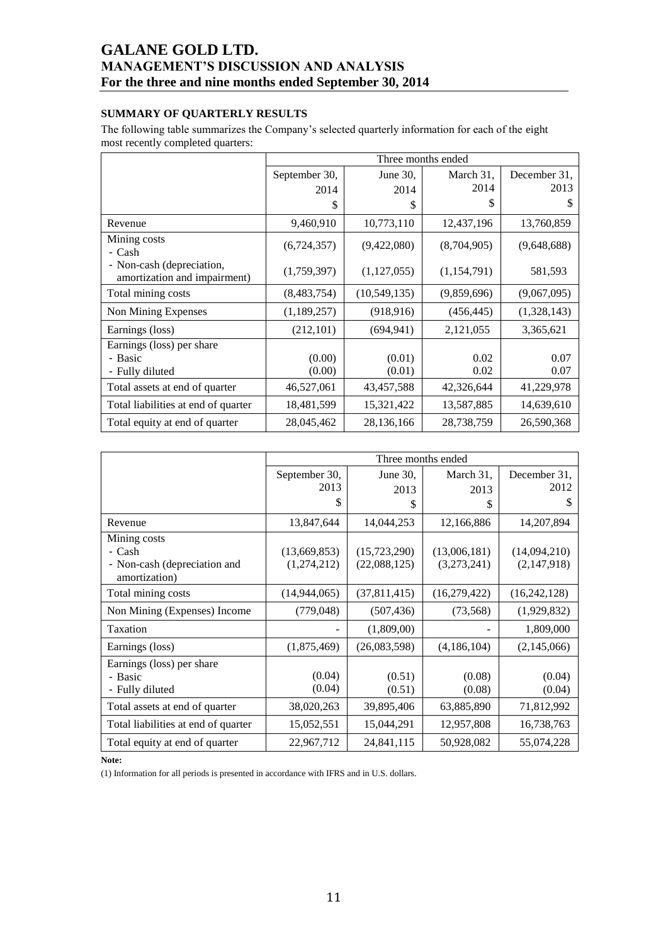# **SUMMARY OF QUARTERLY RESULTS**

The following table summarizes the Company's selected quarterly information for each of the eight most recently completed quarters:

|                                                           |               |                | Three months ended |              |
|-----------------------------------------------------------|---------------|----------------|--------------------|--------------|
|                                                           | September 30, | June $30$ .    | March 31,          | December 31, |
|                                                           | 2014          | 2014           | 2014               | 2013         |
|                                                           | \$            | \$             | \$                 | \$           |
| Revenue                                                   | 9,460,910     | 10,773,110     | 12,437,196         | 13,760,859   |
| Mining costs<br>- Cash                                    | (6,724,357)   | (9,422,080)    | (8,704,905)        | (9,648,688)  |
| - Non-cash (depreciation,<br>amortization and impairment) | (1,759,397)   | (1, 127, 055)  | (1,154,791)        | 581,593      |
| Total mining costs                                        | (8,483,754)   | (10, 549, 135) | (9,859,696)        | (9,067,095)  |
| Non Mining Expenses                                       | (1,189,257)   | (918, 916)     | (456, 445)         | (1,328,143)  |
| Earnings (loss)                                           | (212, 101)    | (694, 941)     | 2,121,055          | 3,365,621    |
| Earnings (loss) per share                                 |               |                |                    |              |
| - Basic                                                   | (0.00)        | (0.01)         | 0.02               | 0.07         |
| - Fully diluted                                           | (0.00)        | (0.01)         | 0.02               | 0.07         |
| Total assets at end of quarter                            | 46,527,061    | 43,457,588     | 42,326,644         | 41,229,978   |
| Total liabilities at end of quarter                       | 18,481,599    | 15,321,422     | 13,587,885         | 14,639,610   |
| Total equity at end of quarter                            | 28,045,462    | 28, 136, 166   | 28,738,759         | 26,590,368   |

|                                                                         |                             | Three months ended           |                             |                             |
|-------------------------------------------------------------------------|-----------------------------|------------------------------|-----------------------------|-----------------------------|
|                                                                         | September 30,<br>2013       | June $30$ .<br>2013          | March 31,<br>2013           | December 31,<br>2012        |
|                                                                         | S                           | \$                           | \$                          | \$                          |
| Revenue                                                                 | 13,847,644                  | 14,044,253                   | 12,166,886                  | 14,207,894                  |
| Mining costs<br>- Cash<br>- Non-cash (depreciation and<br>amortization) | (13,669,853)<br>(1,274,212) | (15,723,290)<br>(22,088,125) | (13,006,181)<br>(3,273,241) | (14,094,210)<br>(2,147,918) |
| Total mining costs                                                      | (14, 944, 065)              | (37,811,415)                 | (16,279,422)                | (16,242,128)                |
| Non Mining (Expenses) Income                                            | (779, 048)                  | (507, 436)                   | (73, 568)                   | (1,929,832)                 |
| Taxation                                                                |                             | (1,809,00)                   |                             | 1,809,000                   |
| Earnings (loss)                                                         | (1,875,469)                 | (26,083,598)                 | (4,186,104)                 | (2,145,066)                 |
| Earnings (loss) per share<br>- Basic<br>- Fully diluted                 | (0.04)<br>(0.04)            | (0.51)<br>(0.51)             | (0.08)<br>(0.08)            | (0.04)<br>(0.04)            |
| Total assets at end of quarter                                          | 38,020,263                  | 39,895,406                   | 63,885,890                  | 71,812,992                  |
| Total liabilities at end of quarter                                     | 15,052,551                  | 15,044,291                   | 12,957,808                  | 16,738,763                  |
| Total equity at end of quarter                                          | 22,967,712                  | 24,841,115                   | 50,928,082                  | 55,074,228                  |

**Note:**

(1) Information for all periods is presented in accordance with IFRS and in U.S. dollars.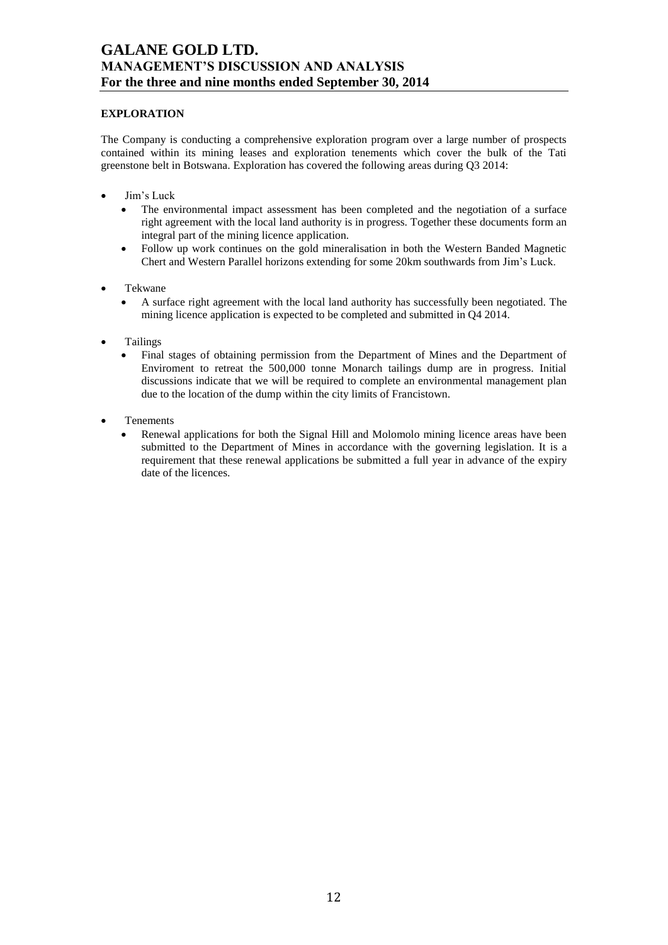## **EXPLORATION**

The Company is conducting a comprehensive exploration program over a large number of prospects contained within its mining leases and exploration tenements which cover the bulk of the Tati greenstone belt in Botswana. Exploration has covered the following areas during Q3 2014:

- Jim's Luck
	- The environmental impact assessment has been completed and the negotiation of a surface right agreement with the local land authority is in progress. Together these documents form an integral part of the mining licence application.
	- Follow up work continues on the gold mineralisation in both the Western Banded Magnetic Chert and Western Parallel horizons extending for some 20km southwards from Jim's Luck.
- Tekwane
	- A surface right agreement with the local land authority has successfully been negotiated. The mining licence application is expected to be completed and submitted in Q4 2014.
- Tailings
	- Final stages of obtaining permission from the Department of Mines and the Department of Enviroment to retreat the 500,000 tonne Monarch tailings dump are in progress. Initial discussions indicate that we will be required to complete an environmental management plan due to the location of the dump within the city limits of Francistown.
- Tenements
	- Renewal applications for both the Signal Hill and Molomolo mining licence areas have been submitted to the Department of Mines in accordance with the governing legislation. It is a requirement that these renewal applications be submitted a full year in advance of the expiry date of the licences.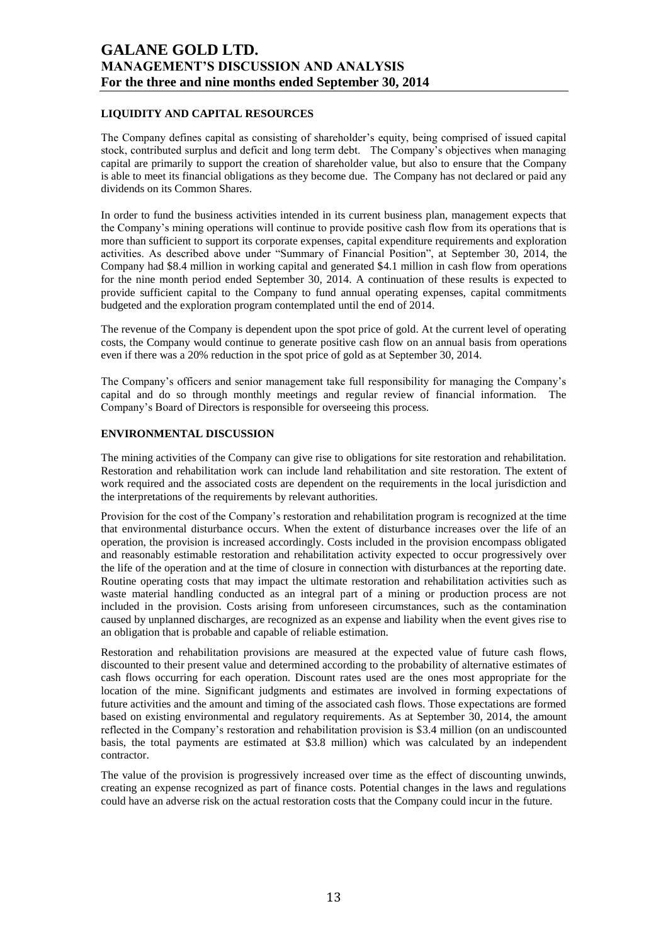## **LIQUIDITY AND CAPITAL RESOURCES**

The Company defines capital as consisting of shareholder's equity, being comprised of issued capital stock, contributed surplus and deficit and long term debt. The Company's objectives when managing capital are primarily to support the creation of shareholder value, but also to ensure that the Company is able to meet its financial obligations as they become due. The Company has not declared or paid any dividends on its Common Shares.

In order to fund the business activities intended in its current business plan, management expects that the Company's mining operations will continue to provide positive cash flow from its operations that is more than sufficient to support its corporate expenses, capital expenditure requirements and exploration activities. As described above under "Summary of Financial Position", at September 30, 2014, the Company had \$8.4 million in working capital and generated \$4.1 million in cash flow from operations for the nine month period ended September 30, 2014. A continuation of these results is expected to provide sufficient capital to the Company to fund annual operating expenses, capital commitments budgeted and the exploration program contemplated until the end of 2014.

The revenue of the Company is dependent upon the spot price of gold. At the current level of operating costs, the Company would continue to generate positive cash flow on an annual basis from operations even if there was a 20% reduction in the spot price of gold as at September 30, 2014.

The Company's officers and senior management take full responsibility for managing the Company's capital and do so through monthly meetings and regular review of financial information. The Company's Board of Directors is responsible for overseeing this process.

## **ENVIRONMENTAL DISCUSSION**

The mining activities of the Company can give rise to obligations for site restoration and rehabilitation. Restoration and rehabilitation work can include land rehabilitation and site restoration. The extent of work required and the associated costs are dependent on the requirements in the local jurisdiction and the interpretations of the requirements by relevant authorities.

Provision for the cost of the Company's restoration and rehabilitation program is recognized at the time that environmental disturbance occurs. When the extent of disturbance increases over the life of an operation, the provision is increased accordingly. Costs included in the provision encompass obligated and reasonably estimable restoration and rehabilitation activity expected to occur progressively over the life of the operation and at the time of closure in connection with disturbances at the reporting date. Routine operating costs that may impact the ultimate restoration and rehabilitation activities such as waste material handling conducted as an integral part of a mining or production process are not included in the provision. Costs arising from unforeseen circumstances, such as the contamination caused by unplanned discharges, are recognized as an expense and liability when the event gives rise to an obligation that is probable and capable of reliable estimation.

Restoration and rehabilitation provisions are measured at the expected value of future cash flows, discounted to their present value and determined according to the probability of alternative estimates of cash flows occurring for each operation. Discount rates used are the ones most appropriate for the location of the mine. Significant judgments and estimates are involved in forming expectations of future activities and the amount and timing of the associated cash flows. Those expectations are formed based on existing environmental and regulatory requirements. As at September 30, 2014, the amount reflected in the Company's restoration and rehabilitation provision is \$3.4 million (on an undiscounted basis, the total payments are estimated at \$3.8 million) which was calculated by an independent contractor.

The value of the provision is progressively increased over time as the effect of discounting unwinds, creating an expense recognized as part of finance costs. Potential changes in the laws and regulations could have an adverse risk on the actual restoration costs that the Company could incur in the future.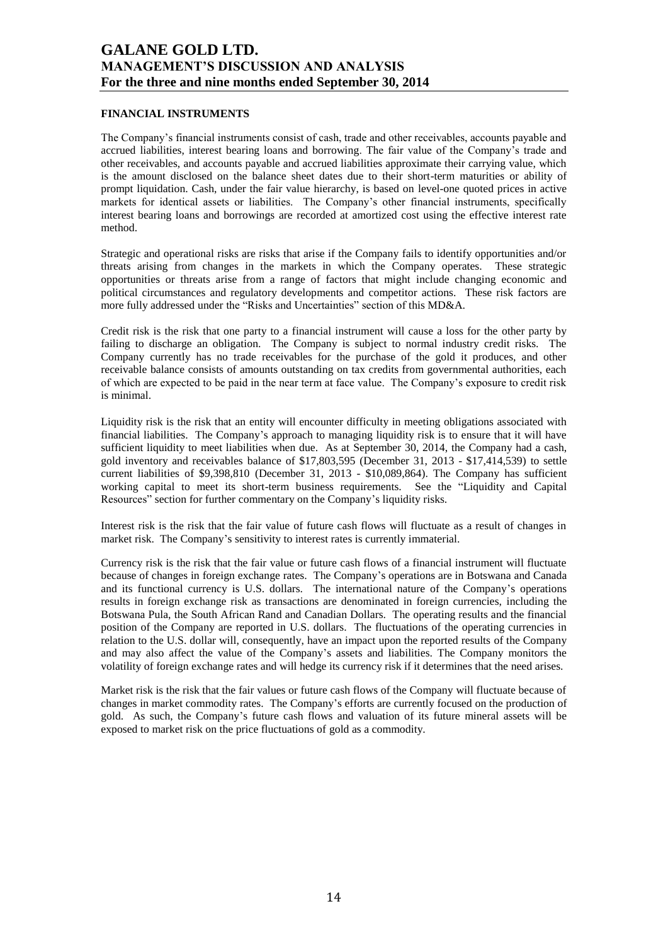### **FINANCIAL INSTRUMENTS**

The Company's financial instruments consist of cash, trade and other receivables, accounts payable and accrued liabilities, interest bearing loans and borrowing. The fair value of the Company's trade and other receivables, and accounts payable and accrued liabilities approximate their carrying value, which is the amount disclosed on the balance sheet dates due to their short-term maturities or ability of prompt liquidation. Cash, under the fair value hierarchy, is based on level-one quoted prices in active markets for identical assets or liabilities. The Company's other financial instruments, specifically interest bearing loans and borrowings are recorded at amortized cost using the effective interest rate method.

Strategic and operational risks are risks that arise if the Company fails to identify opportunities and/or threats arising from changes in the markets in which the Company operates. These strategic opportunities or threats arise from a range of factors that might include changing economic and political circumstances and regulatory developments and competitor actions. These risk factors are more fully addressed under the "Risks and Uncertainties" section of this MD&A.

Credit risk is the risk that one party to a financial instrument will cause a loss for the other party by failing to discharge an obligation. The Company is subject to normal industry credit risks. The Company currently has no trade receivables for the purchase of the gold it produces, and other receivable balance consists of amounts outstanding on tax credits from governmental authorities, each of which are expected to be paid in the near term at face value. The Company's exposure to credit risk is minimal.

Liquidity risk is the risk that an entity will encounter difficulty in meeting obligations associated with financial liabilities. The Company's approach to managing liquidity risk is to ensure that it will have sufficient liquidity to meet liabilities when due. As at September 30, 2014, the Company had a cash, gold inventory and receivables balance of \$17,803,595 (December 31, 2013 - \$17,414,539) to settle current liabilities of \$9,398,810 (December 31, 2013 - \$10,089,864). The Company has sufficient working capital to meet its short-term business requirements. See the "Liquidity and Capital Resources" section for further commentary on the Company's liquidity risks.

Interest risk is the risk that the fair value of future cash flows will fluctuate as a result of changes in market risk. The Company's sensitivity to interest rates is currently immaterial.

Currency risk is the risk that the fair value or future cash flows of a financial instrument will fluctuate because of changes in foreign exchange rates. The Company's operations are in Botswana and Canada and its functional currency is U.S. dollars. The international nature of the Company's operations results in foreign exchange risk as transactions are denominated in foreign currencies, including the Botswana Pula, the South African Rand and Canadian Dollars. The operating results and the financial position of the Company are reported in U.S. dollars. The fluctuations of the operating currencies in relation to the U.S. dollar will, consequently, have an impact upon the reported results of the Company and may also affect the value of the Company's assets and liabilities. The Company monitors the volatility of foreign exchange rates and will hedge its currency risk if it determines that the need arises.

Market risk is the risk that the fair values or future cash flows of the Company will fluctuate because of changes in market commodity rates. The Company's efforts are currently focused on the production of gold. As such, the Company's future cash flows and valuation of its future mineral assets will be exposed to market risk on the price fluctuations of gold as a commodity.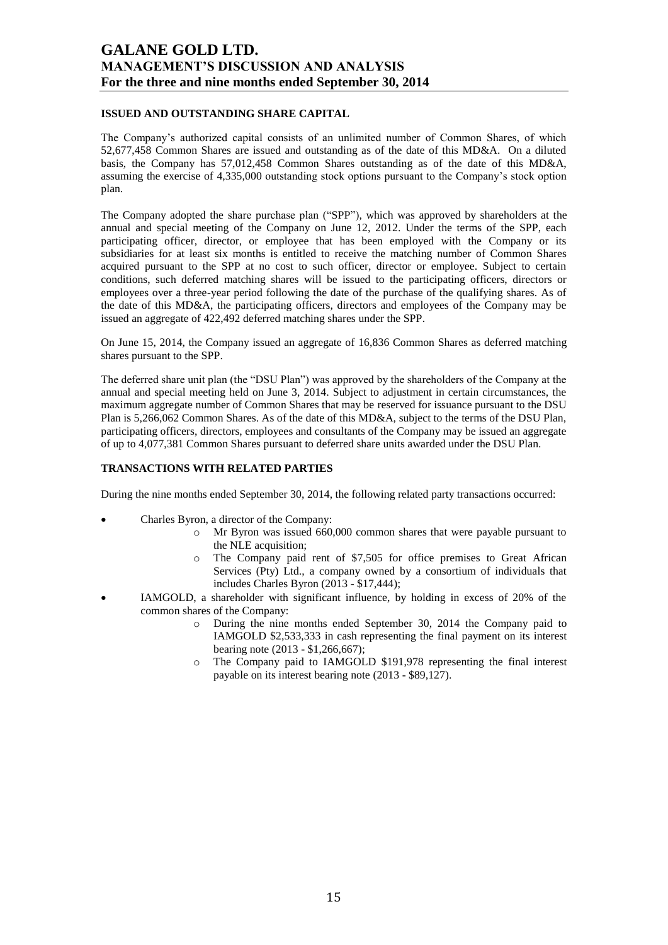## **ISSUED AND OUTSTANDING SHARE CAPITAL**

The Company's authorized capital consists of an unlimited number of Common Shares, of which 52,677,458 Common Shares are issued and outstanding as of the date of this MD&A. On a diluted basis, the Company has 57,012,458 Common Shares outstanding as of the date of this MD&A, assuming the exercise of 4,335,000 outstanding stock options pursuant to the Company's stock option plan.

The Company adopted the share purchase plan ("SPP"), which was approved by shareholders at the annual and special meeting of the Company on June 12, 2012. Under the terms of the SPP, each participating officer, director, or employee that has been employed with the Company or its subsidiaries for at least six months is entitled to receive the matching number of Common Shares acquired pursuant to the SPP at no cost to such officer, director or employee. Subject to certain conditions, such deferred matching shares will be issued to the participating officers, directors or employees over a three-year period following the date of the purchase of the qualifying shares. As of the date of this MD&A, the participating officers, directors and employees of the Company may be issued an aggregate of 422,492 deferred matching shares under the SPP.

On June 15, 2014, the Company issued an aggregate of 16,836 Common Shares as deferred matching shares pursuant to the SPP.

The deferred share unit plan (the "DSU Plan") was approved by the shareholders of the Company at the annual and special meeting held on June 3, 2014. Subject to adjustment in certain circumstances, the maximum aggregate number of Common Shares that may be reserved for issuance pursuant to the DSU Plan is 5,266,062 Common Shares. As of the date of this MD&A, subject to the terms of the DSU Plan, participating officers, directors, employees and consultants of the Company may be issued an aggregate of up to 4,077,381 Common Shares pursuant to deferred share units awarded under the DSU Plan.

## **TRANSACTIONS WITH RELATED PARTIES**

During the nine months ended September 30, 2014, the following related party transactions occurred:

- Charles Byron, a director of the Company:
	- o Mr Byron was issued 660,000 common shares that were payable pursuant to the NLE acquisition;
	- o The Company paid rent of \$7,505 for office premises to Great African Services (Pty) Ltd., a company owned by a consortium of individuals that includes Charles Byron (2013 - \$17,444);
- IAMGOLD, a shareholder with significant influence, by holding in excess of 20% of the common shares of the Company:
	- o During the nine months ended September 30, 2014 the Company paid to IAMGOLD \$2,533,333 in cash representing the final payment on its interest bearing note (2013 - \$1,266,667);
	- o The Company paid to IAMGOLD \$191,978 representing the final interest payable on its interest bearing note (2013 - \$89,127).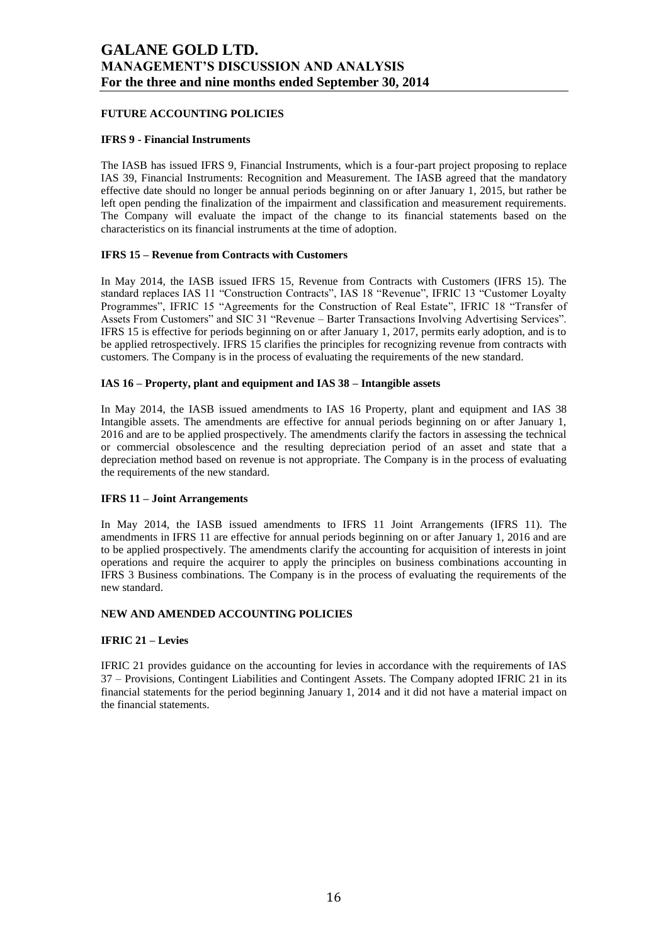## **FUTURE ACCOUNTING POLICIES**

### **IFRS 9 - Financial Instruments**

The IASB has issued IFRS 9, Financial Instruments, which is a four-part project proposing to replace IAS 39, Financial Instruments: Recognition and Measurement. The IASB agreed that the mandatory effective date should no longer be annual periods beginning on or after January 1, 2015, but rather be left open pending the finalization of the impairment and classification and measurement requirements. The Company will evaluate the impact of the change to its financial statements based on the characteristics on its financial instruments at the time of adoption.

## **IFRS 15 – Revenue from Contracts with Customers**

In May 2014, the IASB issued IFRS 15, Revenue from Contracts with Customers (IFRS 15). The standard replaces IAS 11 "Construction Contracts", IAS 18 "Revenue", IFRIC 13 "Customer Loyalty Programmes", IFRIC 15 "Agreements for the Construction of Real Estate", IFRIC 18 "Transfer of Assets From Customers" and SIC 31 "Revenue – Barter Transactions Involving Advertising Services". IFRS 15 is effective for periods beginning on or after January 1, 2017, permits early adoption, and is to be applied retrospectively. IFRS 15 clarifies the principles for recognizing revenue from contracts with customers. The Company is in the process of evaluating the requirements of the new standard.

### **IAS 16 – Property, plant and equipment and IAS 38 – Intangible assets**

In May 2014, the IASB issued amendments to IAS 16 Property, plant and equipment and IAS 38 Intangible assets. The amendments are effective for annual periods beginning on or after January 1, 2016 and are to be applied prospectively. The amendments clarify the factors in assessing the technical or commercial obsolescence and the resulting depreciation period of an asset and state that a depreciation method based on revenue is not appropriate. The Company is in the process of evaluating the requirements of the new standard.

## **IFRS 11 – Joint Arrangements**

In May 2014, the IASB issued amendments to IFRS 11 Joint Arrangements (IFRS 11). The amendments in IFRS 11 are effective for annual periods beginning on or after January 1, 2016 and are to be applied prospectively. The amendments clarify the accounting for acquisition of interests in joint operations and require the acquirer to apply the principles on business combinations accounting in IFRS 3 Business combinations. The Company is in the process of evaluating the requirements of the new standard.

## **NEW AND AMENDED ACCOUNTING POLICIES**

## **IFRIC 21 – Levies**

IFRIC 21 provides guidance on the accounting for levies in accordance with the requirements of IAS 37 – Provisions, Contingent Liabilities and Contingent Assets. The Company adopted IFRIC 21 in its financial statements for the period beginning January 1, 2014 and it did not have a material impact on the financial statements.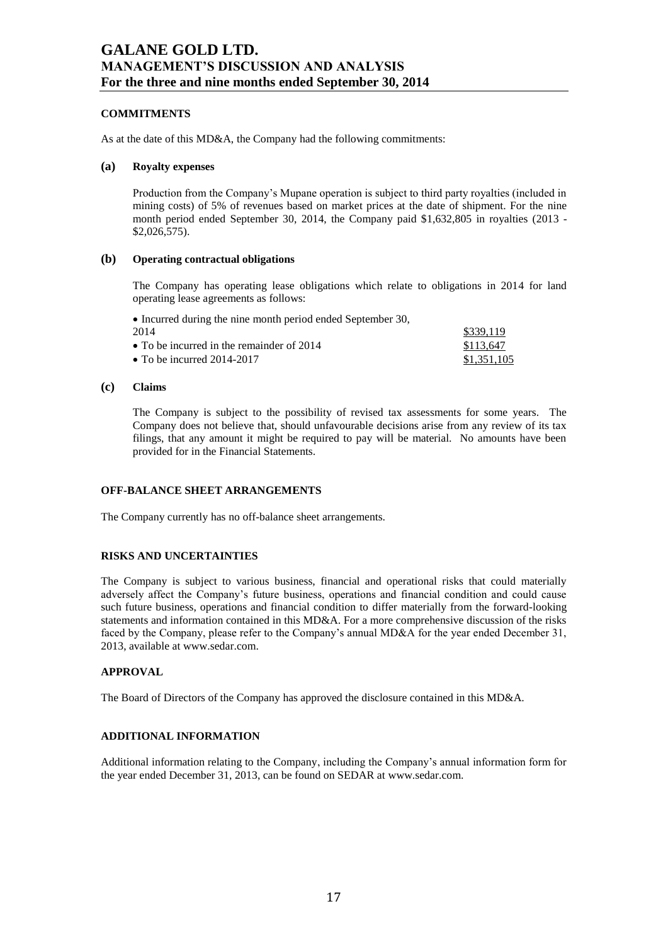## **COMMITMENTS**

As at the date of this MD&A, the Company had the following commitments:

### **(a) Royalty expenses**

Production from the Company's Mupane operation is subject to third party royalties (included in mining costs) of 5% of revenues based on market prices at the date of shipment. For the nine month period ended September 30, 2014, the Company paid \$1,632,805 in royalties (2013 - \$2,026,575).

## **(b) Operating contractual obligations**

The Company has operating lease obligations which relate to obligations in 2014 for land operating lease agreements as follows:

| • Incurred during the nine month period ended September 30, |             |
|-------------------------------------------------------------|-------------|
| 2014                                                        | \$339.119   |
| • To be incurred in the remainder of $2014$                 | \$113,647   |
| • To be incurred $2014-2017$                                | \$1,351,105 |

### **(c) Claims**

The Company is subject to the possibility of revised tax assessments for some years. The Company does not believe that, should unfavourable decisions arise from any review of its tax filings, that any amount it might be required to pay will be material. No amounts have been provided for in the Financial Statements.

## **OFF-BALANCE SHEET ARRANGEMENTS**

The Company currently has no off-balance sheet arrangements.

## **RISKS AND UNCERTAINTIES**

The Company is subject to various business, financial and operational risks that could materially adversely affect the Company's future business, operations and financial condition and could cause such future business, operations and financial condition to differ materially from the forward-looking statements and information contained in this MD&A. For a more comprehensive discussion of the risks faced by the Company, please refer to the Company's annual MD&A for the year ended December 31, 2013, available at www.sedar.com.

## **APPROVAL**

The Board of Directors of the Company has approved the disclosure contained in this MD&A.

# **ADDITIONAL INFORMATION**

Additional information relating to the Company, including the Company's annual information form for the year ended December 31, 2013, can be found on SEDAR at www.sedar.com.